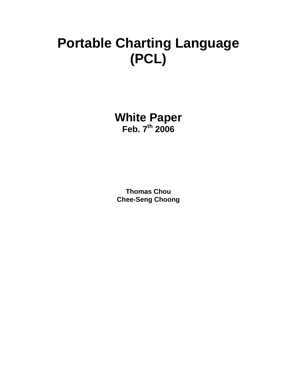# **Portable Charting Language (PCL)**

**White Paper Feb. 7th 2006** 

**Thomas Chou Chee-Seng Choong**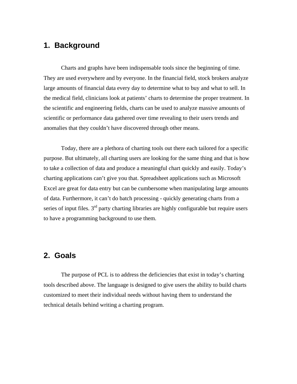## **1. Background**

Charts and graphs have been indispensable tools since the beginning of time. They are used everywhere and by everyone. In the financial field, stock brokers analyze large amounts of financial data every day to determine what to buy and what to sell. In the medical field, clinicians look at patients' charts to determine the proper treatment. In the scientific and engineering fields, charts can be used to analyze massive amounts of scientific or performance data gathered over time revealing to their users trends and anomalies that they couldn't have discovered through other means.

Today, there are a plethora of charting tools out there each tailored for a specific purpose. But ultimately, all charting users are looking for the same thing and that is how to take a collection of data and produce a meaningful chart quickly and easily. Today's charting applications can't give you that. Spreadsheet applications such as Microsoft Excel are great for data entry but can be cumbersome when manipulating large amounts of data. Furthermore, it can't do batch processing - quickly generating charts from a series of input files.  $3<sup>rd</sup>$  party charting libraries are highly configurable but require users to have a programming background to use them.

# **2. Goals**

The purpose of PCL is to address the deficiencies that exist in today's charting tools described above. The language is designed to give users the ability to build charts customized to meet their individual needs without having them to understand the technical details behind writing a charting program.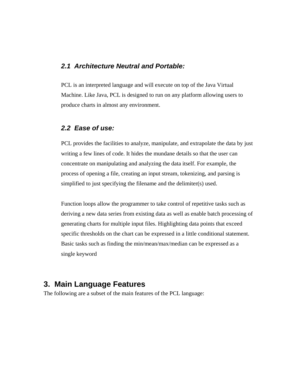#### *2.1 Architecture Neutral and Portable:*

PCL is an interpreted language and will execute on top of the Java Virtual Machine. Like Java, PCL is designed to run on any platform allowing users to produce charts in almost any environment.

### *2.2 Ease of use:*

PCL provides the facilities to analyze, manipulate, and extrapolate the data by just writing a few lines of code. It hides the mundane details so that the user can concentrate on manipulating and analyzing the data itself. For example, the process of opening a file, creating an input stream, tokenizing, and parsing is simplified to just specifying the filename and the delimiter(s) used.

Function loops allow the programmer to take control of repetitive tasks such as deriving a new data series from existing data as well as enable batch processing of generating charts for multiple input files. Highlighting data points that exceed specific thresholds on the chart can be expressed in a little conditional statement. Basic tasks such as finding the min/mean/max/median can be expressed as a single keyword

# **3. Main Language Features**

The following are a subset of the main features of the PCL language: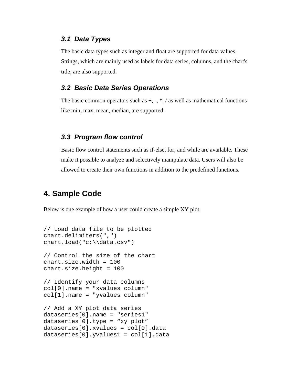### *3.1 Data Types*

The basic data types such as integer and float are supported for data values. Strings, which are mainly used as labels for data series, columns, and the chart's title, are also supported.

#### *3.2 Basic Data Series Operations*

The basic common operators such as  $+$ ,  $-$ ,  $*$ ,  $\alpha$  as well as mathematical functions like min, max, mean, median, are supported.

#### *3.3 Program flow control*

Basic flow control statements such as if-else, for, and while are available. These make it possible to analyze and selectively manipulate data. Users will also be allowed to create their own functions in addition to the predefined functions.

# **4. Sample Code**

Below is one example of how a user could create a simple XY plot.

```
// Load data file to be plotted 
chart.delimiters(",") 
chart.load("c:\\data.csv") 
// Control the size of the chart 
chart.size.width = 100 
chart.size.height = 100 
// Identify your data columns 
col[0].name = "xvalues column" 
col[1].name = "yvalues column" 
// Add a XY plot data series 
dataseries[0].name = "series1" 
dataseries[0].type = "xy plot" 
dataseries[0].xvalues = col[0].data 
dataseries[0].yvalues1 = col[1].data
```